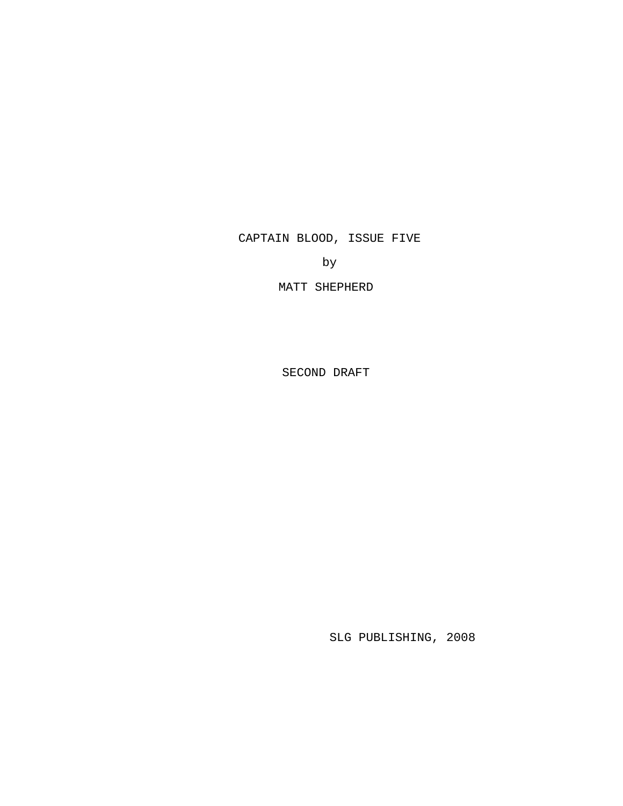CAPTAIN BLOOD, ISSUE FIVE

by

MATT SHEPHERD

SECOND DRAFT

SLG PUBLISHING, 2008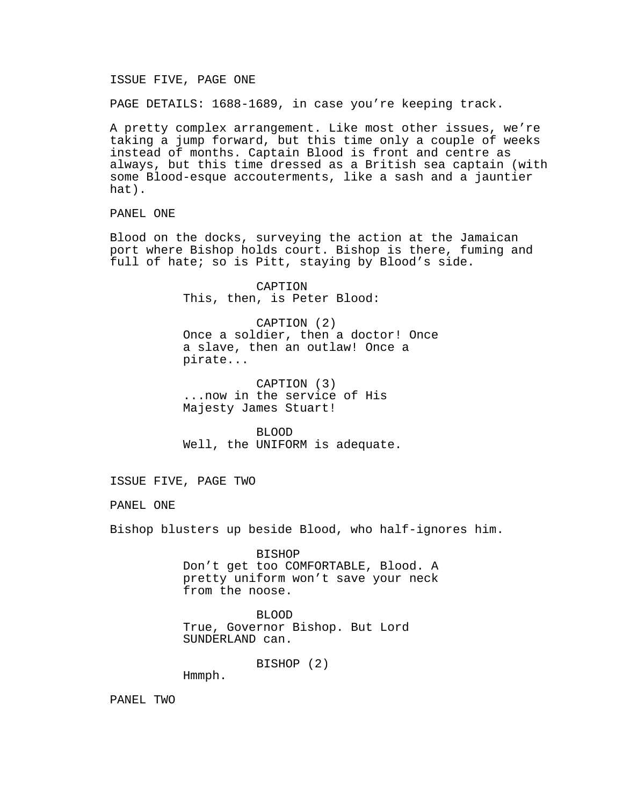ISSUE FIVE, PAGE ONE

PAGE DETAILS: 1688-1689, in case you're keeping track.

A pretty complex arrangement. Like most other issues, we're taking a jump forward, but this time only a couple of weeks instead of months. Captain Blood is front and centre as always, but this time dressed as a British sea captain (with some Blood-esque accouterments, like a sash and a jauntier hat).

PANEL ONE

Blood on the docks, surveying the action at the Jamaican port where Bishop holds court. Bishop is there, fuming and full of hate; so is Pitt, staying by Blood's side.

> CAPTION This, then, is Peter Blood:

CAPTION (2) Once a soldier, then a doctor! Once a slave, then an outlaw! Once a pirate...

CAPTION (3) ...now in the service of His Majesty James Stuart!

BLOOD Well, the UNIFORM is adequate.

ISSUE FIVE, PAGE TWO

PANEL ONE

Bishop blusters up beside Blood, who half-ignores him.

BISHOP Don't get too COMFORTABLE, Blood. A pretty uniform won't save your neck from the noose.

BLOOD True, Governor Bishop. But Lord SUNDERLAND can.

BISHOP (2)

Hmmph.

PANEL TWO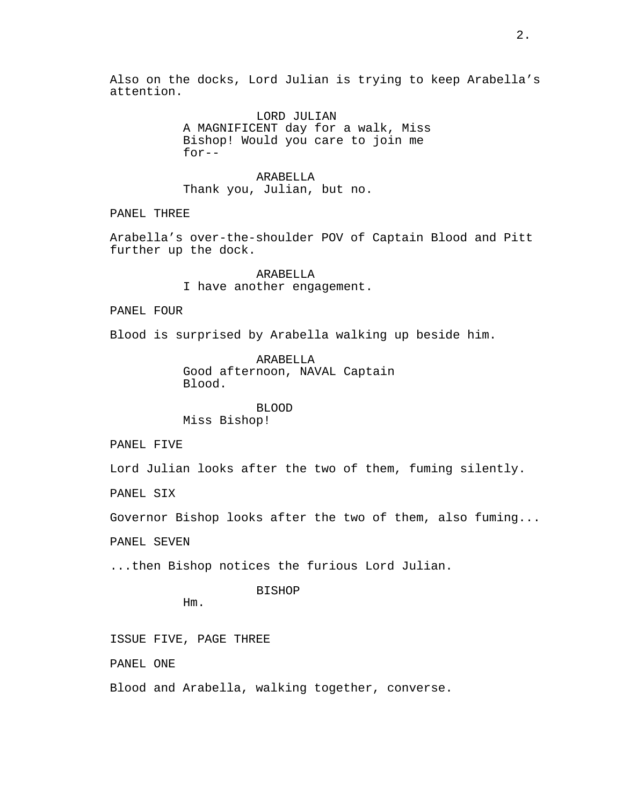Also on the docks, Lord Julian is trying to keep Arabella's attention.

> LORD JULIAN A MAGNIFICENT day for a walk, Miss Bishop! Would you care to join me for--

ARABELLA Thank you, Julian, but no.

PANEL THREE

Arabella's over-the-shoulder POV of Captain Blood and Pitt further up the dock.

> ARABELLA I have another engagement.

PANEL FOUR

Blood is surprised by Arabella walking up beside him.

ARABELLA Good afternoon, NAVAL Captain Blood.

BLOOD Miss Bishop!

PANEL FIVE

Lord Julian looks after the two of them, fuming silently.

PANEL SIX

Governor Bishop looks after the two of them, also fuming...

PANEL SEVEN

...then Bishop notices the furious Lord Julian.

BISHOP

Hm.

ISSUE FIVE, PAGE THREE

PANEL ONE

Blood and Arabella, walking together, converse.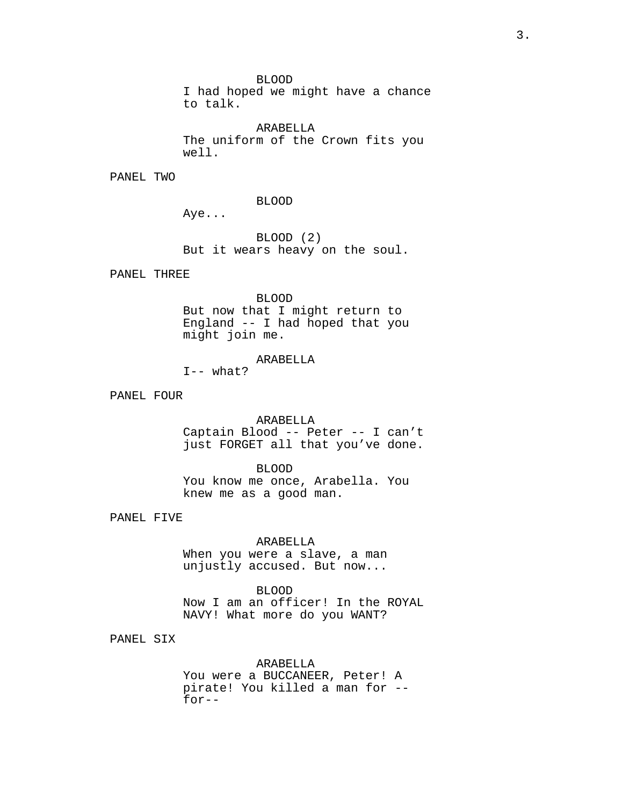BLOOD

I had hoped we might have a chance to talk.

ARABELLA The uniform of the Crown fits you well.

PANEL TWO

BLOOD

Aye...

BLOOD (2) But it wears heavy on the soul.

PANEL THREE

BLOOD But now that I might return to England -- I had hoped that you might join me.

ARABELLA

 $I--$  what?

PANEL FOUR

ARABELLA Captain Blood -- Peter -- I can't just FORGET all that you've done.

BLOOD You know me once, Arabella. You knew me as a good man.

PANEL FIVE

# ARABELLA

When you were a slave, a man unjustly accused. But now...

BLOOD Now I am an officer! In the ROYAL NAVY! What more do you WANT?

PANEL SIX

ARABELLA You were a BUCCANEER, Peter! A pirate! You killed a man for - for--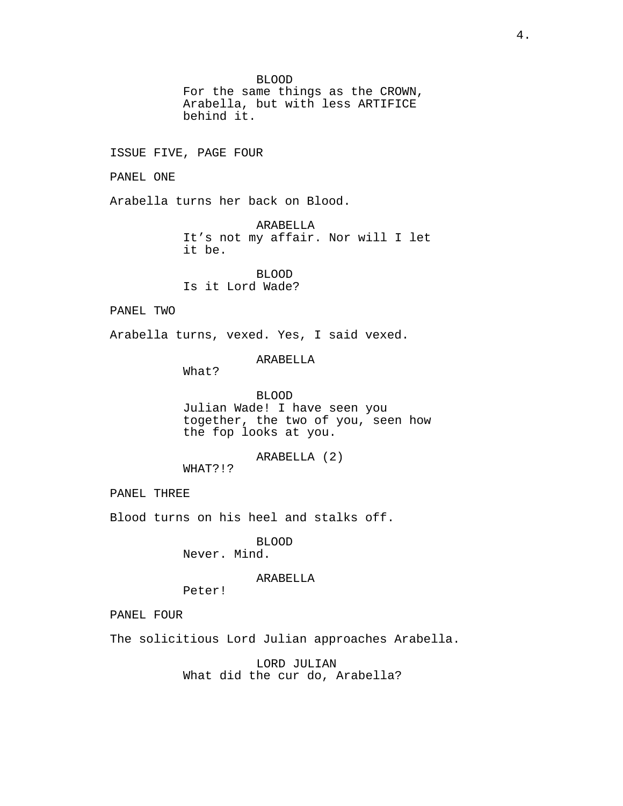BLOOD

For the same things as the CROWN, Arabella, but with less ARTIFICE behind it.

ISSUE FIVE, PAGE FOUR

PANEL ONE

Arabella turns her back on Blood.

ARABELLA It's not my affair. Nor will I let it be.

BLOOD Is it Lord Wade?

PANEL TWO

Arabella turns, vexed. Yes, I said vexed.

ARABELLA

What?

BLOOD Julian Wade! I have seen you together, the two of you, seen how the fop looks at you.

ARABELLA (2)

WHAT?!?

PANEL THREE

Blood turns on his heel and stalks off.

BLOOD Never. Mind.

ARABELLA

Peter!

PANEL FOUR

The solicitious Lord Julian approaches Arabella.

LORD JULIAN What did the cur do, Arabella?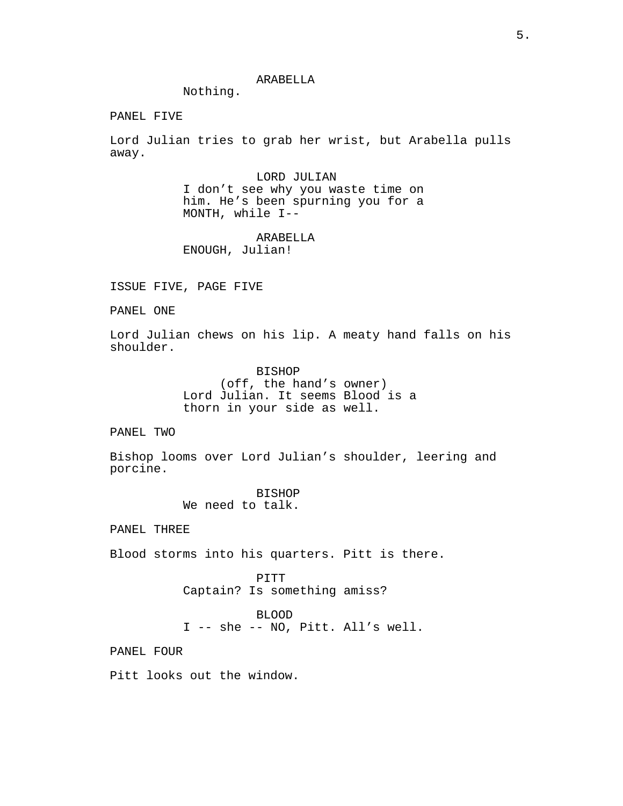Nothing.

PANEL FIVE

Lord Julian tries to grab her wrist, but Arabella pulls away.

> LORD JULIAN I don't see why you waste time on him. He's been spurning you for a MONTH, while I--

ARABELLA ENOUGH, Julian!

ISSUE FIVE, PAGE FIVE

PANEL ONE

Lord Julian chews on his lip. A meaty hand falls on his shoulder.

> BISHOP (off, the hand's owner) Lord Julian. It seems Blood is a thorn in your side as well.

PANEL TWO

Bishop looms over Lord Julian's shoulder, leering and porcine.

> BISHOP We need to talk.

PANEL THREE

Blood storms into his quarters. Pitt is there.

PITT Captain? Is something amiss?

BLOOD

I -- she -- NO, Pitt. All's well.

PANEL FOUR

Pitt looks out the window.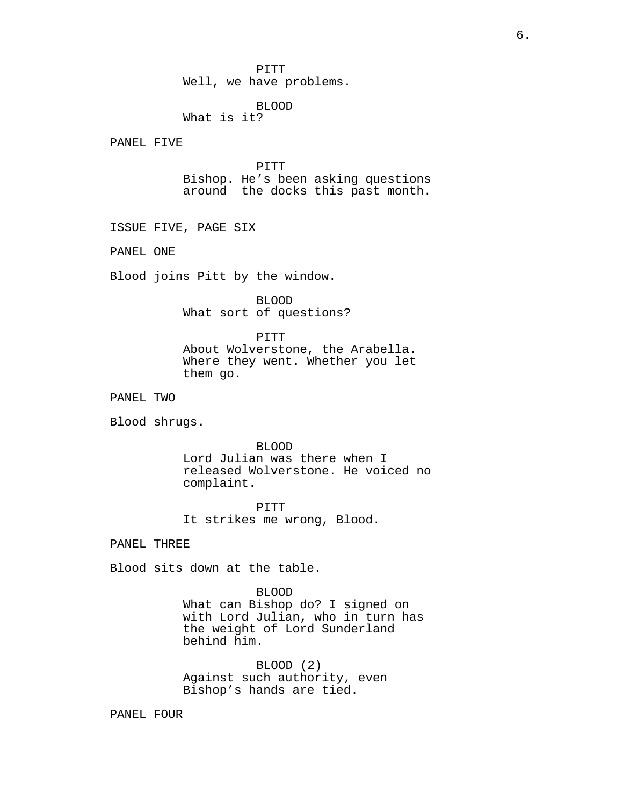PITT Well, we have problems.

# BLOOD

What is it?

PANEL FIVE

PITT Bishop. He's been asking questions around the docks this past month.

ISSUE FIVE, PAGE SIX

PANEL ONE

Blood joins Pitt by the window.

BLOOD What sort of questions?

PITT About Wolverstone, the Arabella. Where they went. Whether you let them go.

PANEL TWO

Blood shrugs.

BLOOD

Lord Julian was there when I released Wolverstone. He voiced no complaint.

PITT It strikes me wrong, Blood.

PANEL THREE

Blood sits down at the table.

BLOOD What can Bishop do? I signed on with Lord Julian, who in turn has the weight of Lord Sunderland behind him.

BLOOD (2) Against such authority, even Bishop's hands are tied.

PANEL FOUR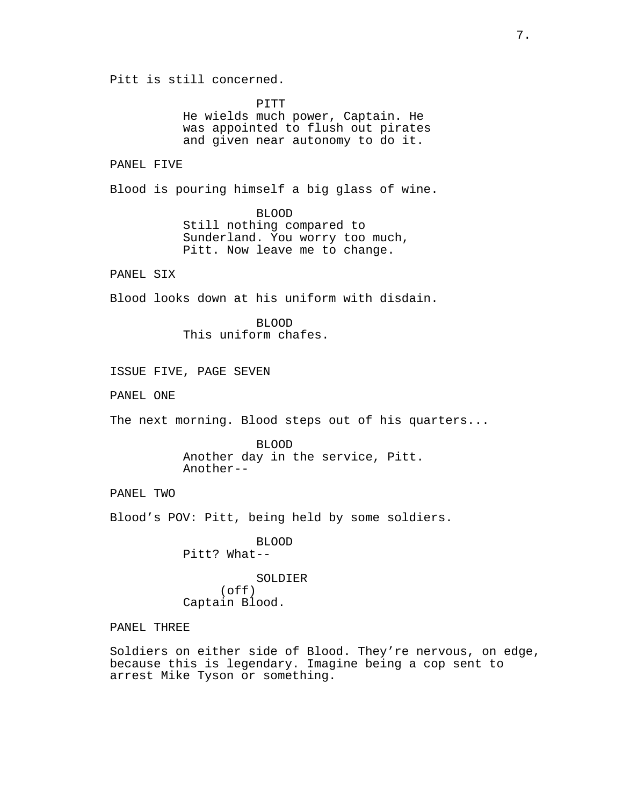Pitt is still concerned.

PITT He wields much power, Captain. He was appointed to flush out pirates and given near autonomy to do it.

PANEL FIVE

Blood is pouring himself a big glass of wine.

BLOOD Still nothing compared to Sunderland. You worry too much, Pitt. Now leave me to change.

PANEL SIX

Blood looks down at his uniform with disdain.

BLOOD This uniform chafes.

ISSUE FIVE, PAGE SEVEN

PANEL ONE

The next morning. Blood steps out of his quarters...

BLOOD Another day in the service, Pitt. Another--

PANEL TWO

Blood's POV: Pitt, being held by some soldiers.

BLOOD Pitt? What--

SOLDIER (off) Captain Blood.

PANEL THREE

Soldiers on either side of Blood. They're nervous, on edge, because this is legendary. Imagine being a cop sent to arrest Mike Tyson or something.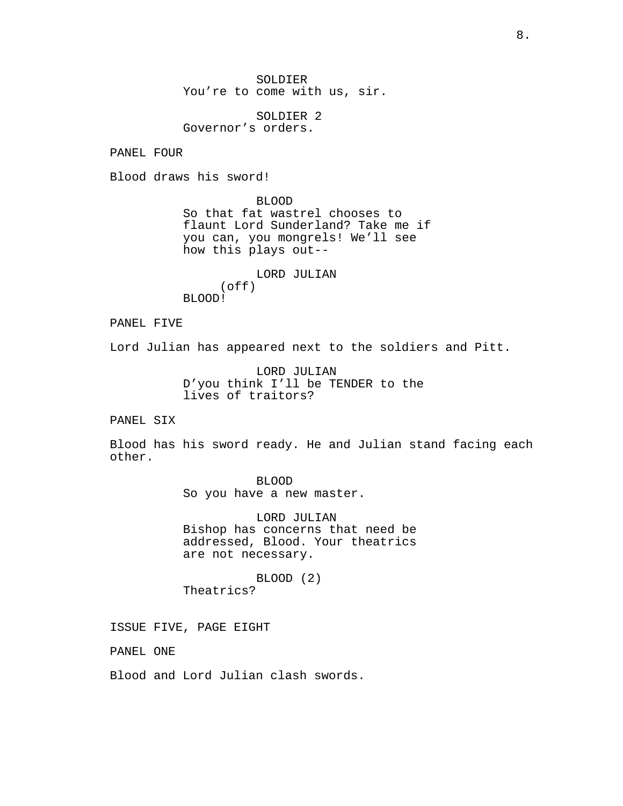SOLDIER You're to come with us, sir.

SOLDIER 2 Governor's orders.

PANEL FOUR

Blood draws his sword!

BLOOD So that fat wastrel chooses to flaunt Lord Sunderland? Take me if you can, you mongrels! We'll see how this plays out--

LORD JULIAN (off) BLOOD!

PANEL FIVE

Lord Julian has appeared next to the soldiers and Pitt.

LORD JULIAN D'you think I'll be TENDER to the lives of traitors?

PANEL SIX

Blood has his sword ready. He and Julian stand facing each other.

> BLOOD So you have a new master.

LORD JULIAN Bishop has concerns that need be addressed, Blood. Your theatrics are not necessary.

BLOOD (2) Theatrics?

ISSUE FIVE, PAGE EIGHT

PANEL ONE

Blood and Lord Julian clash swords.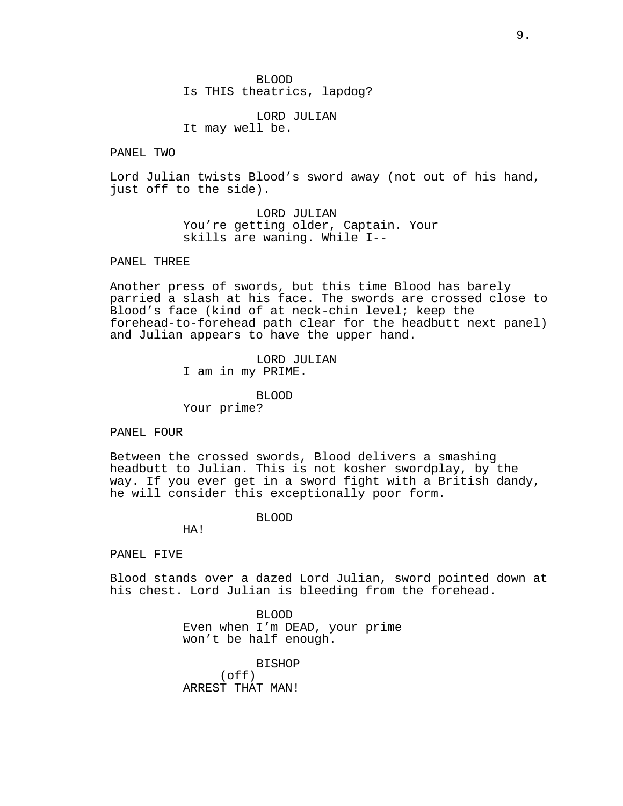BLOOD Is THIS theatrics, lapdog?

LORD JULIAN It may well be.

PANEL TWO

Lord Julian twists Blood's sword away (not out of his hand, just off to the side).

> LORD JULIAN You're getting older, Captain. Your skills are waning. While I--

PANEL THREE

Another press of swords, but this time Blood has barely parried a slash at his face. The swords are crossed close to Blood's face (kind of at neck-chin level; keep the forehead-to-forehead path clear for the headbutt next panel) and Julian appears to have the upper hand.

> LORD JULIAN I am in my PRIME.

BLOOD Your prime?

PANEL FOUR

Between the crossed swords, Blood delivers a smashing headbutt to Julian. This is not kosher swordplay, by the way. If you ever get in a sword fight with a British dandy, he will consider this exceptionally poor form.

BLOOD

HA!

PANEL FIVE

Blood stands over a dazed Lord Julian, sword pointed down at his chest. Lord Julian is bleeding from the forehead.

> BLOOD Even when I'm DEAD, your prime won't be half enough.

BISHOP (off) ARREST THAT MAN!

9.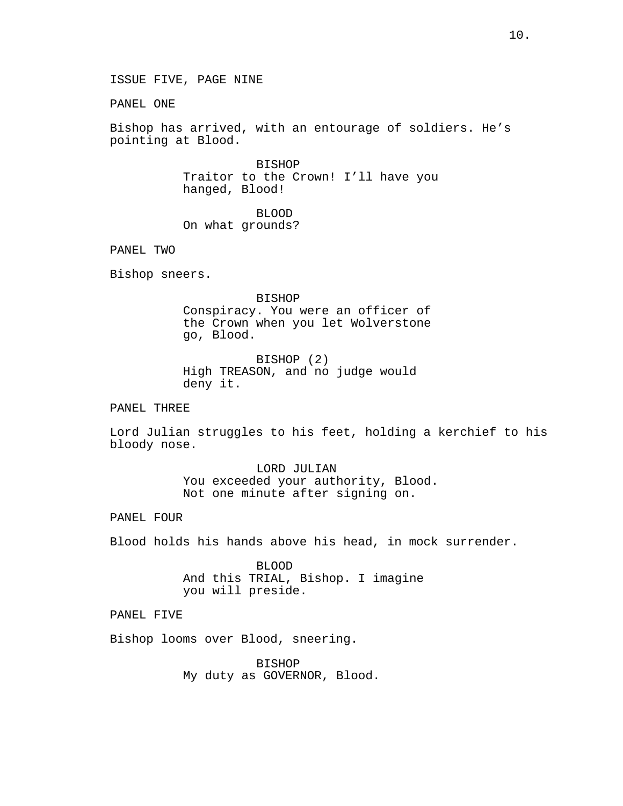ISSUE FIVE, PAGE NINE

PANEL ONE

Bishop has arrived, with an entourage of soldiers. He's pointing at Blood.

> BISHOP Traitor to the Crown! I'll have you hanged, Blood!

BLOOD On what grounds?

PANEL TWO

Bishop sneers.

BISHOP Conspiracy. You were an officer of the Crown when you let Wolverstone go, Blood.

BISHOP (2) High TREASON, and no judge would deny it.

PANEL THREE

Lord Julian struggles to his feet, holding a kerchief to his bloody nose.

> LORD JULIAN You exceeded your authority, Blood. Not one minute after signing on.

PANEL FOUR

Blood holds his hands above his head, in mock surrender.

BLOOD And this TRIAL, Bishop. I imagine you will preside.

PANEL FIVE

Bishop looms over Blood, sneering.

BISHOP My duty as GOVERNOR, Blood.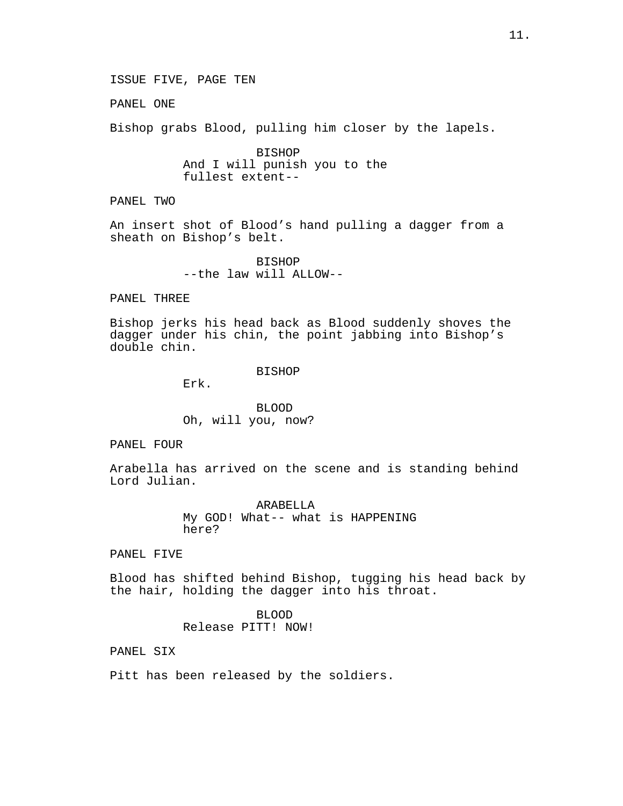PANEL ONE

Bishop grabs Blood, pulling him closer by the lapels.

BISHOP And I will punish you to the fullest extent--

PANEL TWO

An insert shot of Blood's hand pulling a dagger from a sheath on Bishop's belt.

> BISHOP --the law will ALLOW--

PANEL THREE

Bishop jerks his head back as Blood suddenly shoves the dagger under his chin, the point jabbing into Bishop's double chin.

BISHOP

Erk.

BLOOD Oh, will you, now?

PANEL FOUR

Arabella has arrived on the scene and is standing behind Lord Julian.

> ARABELLA My GOD! What-- what is HAPPENING here?

PANEL FIVE

Blood has shifted behind Bishop, tugging his head back by the hair, holding the dagger into his throat.

> BLOOD Release PITT! NOW!

PANEL SIX

Pitt has been released by the soldiers.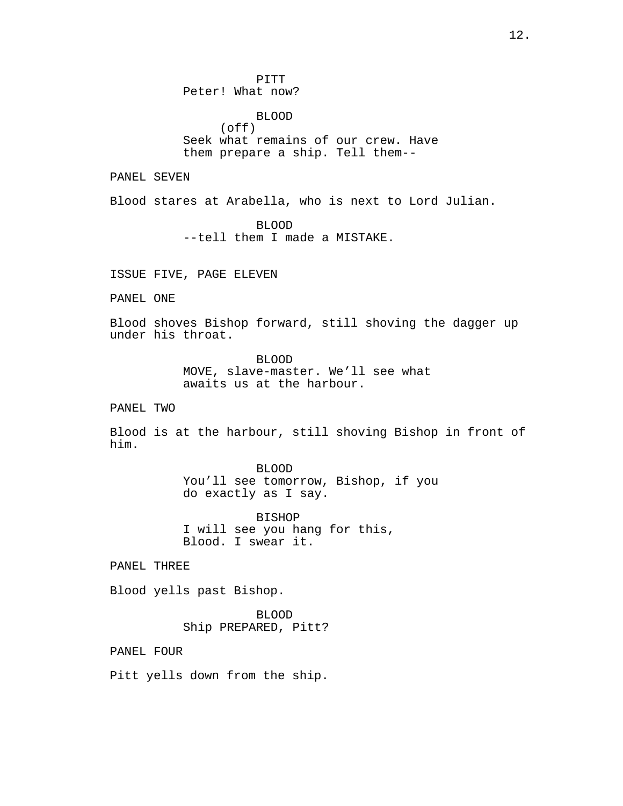PITT Peter! What now?

BLOOD (off) Seek what remains of our crew. Have them prepare a ship. Tell them--

PANEL SEVEN

Blood stares at Arabella, who is next to Lord Julian.

BLOOD --tell them I made a MISTAKE.

ISSUE FIVE, PAGE ELEVEN

PANEL ONE

Blood shoves Bishop forward, still shoving the dagger up under his throat.

> BLOOD MOVE, slave-master. We'll see what awaits us at the harbour.

PANEL TWO

Blood is at the harbour, still shoving Bishop in front of him.

> BLOOD You'll see tomorrow, Bishop, if you do exactly as I say.

BISHOP I will see you hang for this, Blood. I swear it.

PANEL THREE

Blood yells past Bishop.

BLOOD Ship PREPARED, Pitt?

PANEL FOUR

Pitt yells down from the ship.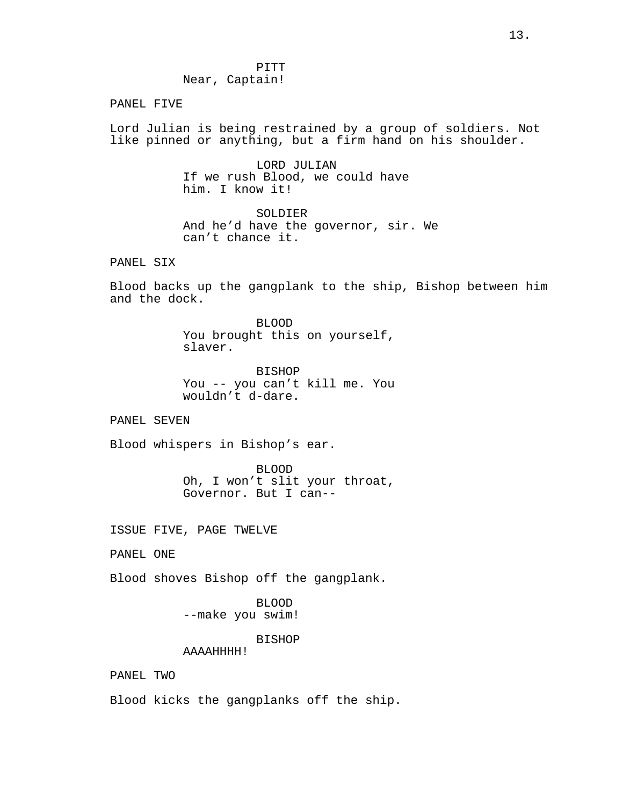PANEL FIVE

Lord Julian is being restrained by a group of soldiers. Not like pinned or anything, but a firm hand on his shoulder.

> LORD JULIAN If we rush Blood, we could have him. I know it!

SOLDIER And he'd have the governor, sir. We can't chance it.

PANEL SIX

Blood backs up the gangplank to the ship, Bishop between him and the dock.

> BLOOD You brought this on yourself, slaver.

> BISHOP You -- you can't kill me. You wouldn't d-dare.

PANEL SEVEN

Blood whispers in Bishop's ear.

BLOOD Oh, I won't slit your throat, Governor. But I can--

ISSUE FIVE, PAGE TWELVE

PANEL ONE

Blood shoves Bishop off the gangplank.

BLOOD --make you swim!

BISHOP

AAAAHHHH!

PANEL TWO

Blood kicks the gangplanks off the ship.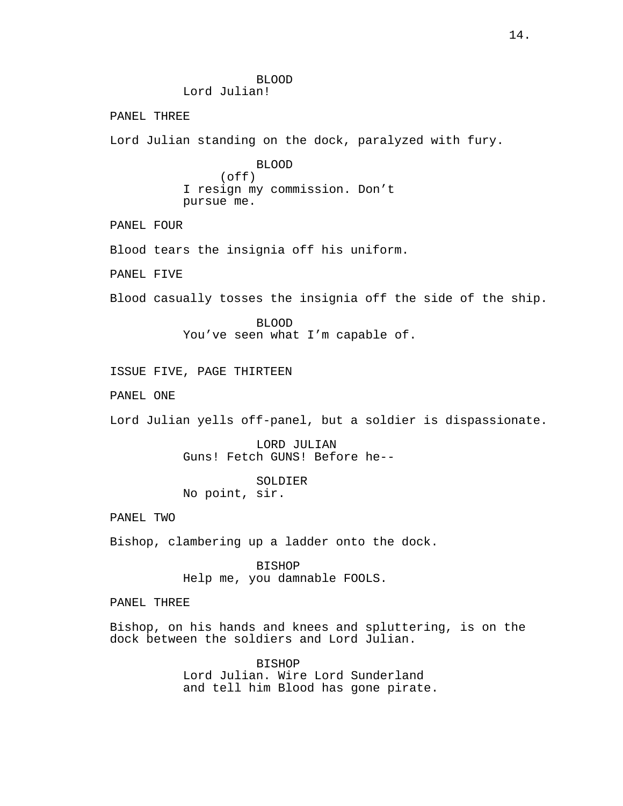BLOOD Lord Julian! PANEL THREE Lord Julian standing on the dock, paralyzed with fury. BLOOD  $($ off $)$ I resign my commission. Don't pursue me. PANEL FOUR Blood tears the insignia off his uniform. PANEL FIVE Blood casually tosses the insignia off the side of the ship. BLOOD You've seen what I'm capable of. ISSUE FIVE, PAGE THIRTEEN PANEL ONE Lord Julian yells off-panel, but a soldier is dispassionate. LORD JULIAN Guns! Fetch GUNS! Before he-- SOLDIER No point, sir. PANEL TWO Bishop, clambering up a ladder onto the dock. BISHOP Help me, you damnable FOOLS. PANEL THREE Bishop, on his hands and knees and spluttering, is on the dock between the soldiers and Lord Julian. BISHOP

Lord Julian. Wire Lord Sunderland and tell him Blood has gone pirate.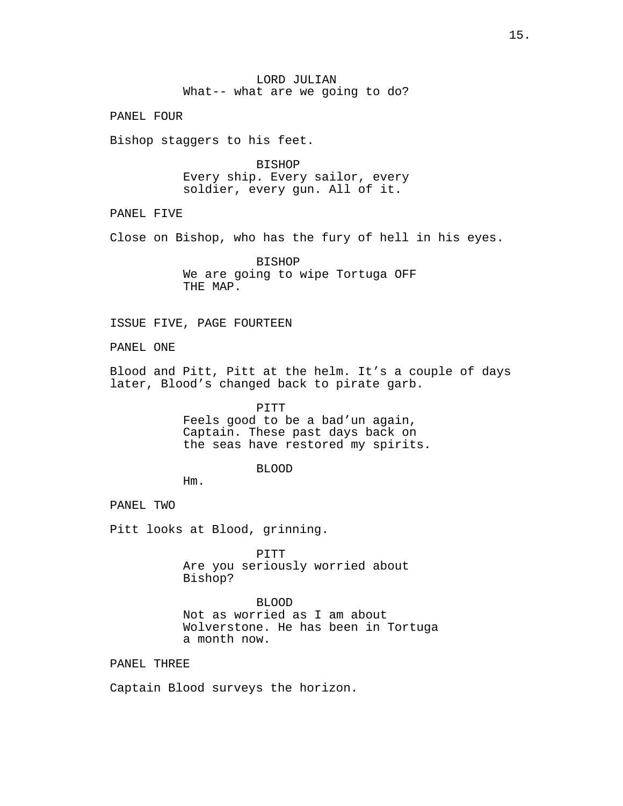LORD JULIAN What-- what are we going to do?

PANEL FOUR

Bishop staggers to his feet.

BISHOP Every ship. Every sailor, every soldier, every gun. All of it.

PANEL FIVE

Close on Bishop, who has the fury of hell in his eyes.

BISHOP We are going to wipe Tortuga OFF THE MAP.

ISSUE FIVE, PAGE FOURTEEN

PANEL ONE

Blood and Pitt, Pitt at the helm. It's a couple of days later, Blood's changed back to pirate garb.

> PITT Feels good to be a bad'un again, Captain. These past days back on the seas have restored my spirits.

# BLOOD

Hm.

PANEL TWO

Pitt looks at Blood, grinning.

PITT Are you seriously worried about Bishop?

BLOOD Not as worried as I am about Wolverstone. He has been in Tortuga a month now.

PANEL THREE

Captain Blood surveys the horizon.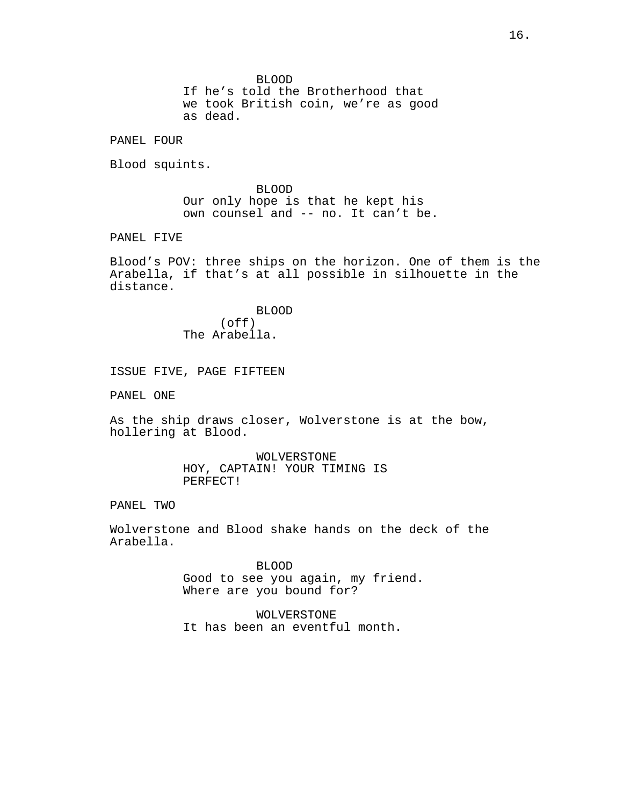BLOOD

If he's told the Brotherhood that we took British coin, we're as good as dead.

PANEL FOUR

Blood squints.

BLOOD Our only hope is that he kept his own counsel and -- no. It can't be.

PANEL FIVE

Blood's POV: three ships on the horizon. One of them is the Arabella, if that's at all possible in silhouette in the distance.

> BLOOD (off) The Arabella.

ISSUE FIVE, PAGE FIFTEEN

PANEL ONE

As the ship draws closer, Wolverstone is at the bow, hollering at Blood.

> WOLVERSTONE HOY, CAPTAIN! YOUR TIMING IS PERFECT!

PANEL TWO

Wolverstone and Blood shake hands on the deck of the Arabella.

> BLOOD Good to see you again, my friend. Where are you bound for?

WOLVERSTONE It has been an eventful month.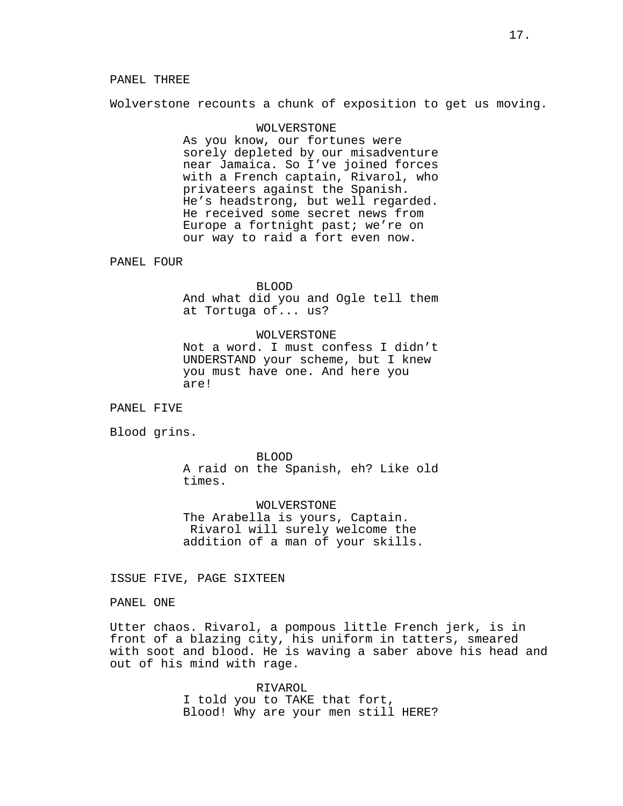Wolverstone recounts a chunk of exposition to get us moving.

# WOLVERSTONE As you know, our fortunes were sorely depleted by our misadventure near Jamaica. So I've joined forces with a French captain, Rivarol, who privateers against the Spanish. He's headstrong, but well regarded. He received some secret news from Europe a fortnight past; we're on our way to raid a fort even now.

PANEL FOUR

#### BLOOD

And what did you and Ogle tell them at Tortuga of... us?

# WOLVERSTONE

Not a word. I must confess I didn't UNDERSTAND your scheme, but I knew you must have one. And here you are!

PANEL FIVE

Blood grins.

BLOOD A raid on the Spanish, eh? Like old times.

WOLVERSTONE The Arabella is yours, Captain. Rivarol will surely welcome the addition of a man of your skills.

ISSUE FIVE, PAGE SIXTEEN

PANEL ONE

Utter chaos. Rivarol, a pompous little French jerk, is in front of a blazing city, his uniform in tatters, smeared with soot and blood. He is waving a saber above his head and out of his mind with rage.

> RIVAROL I told you to TAKE that fort, Blood! Why are your men still HERE?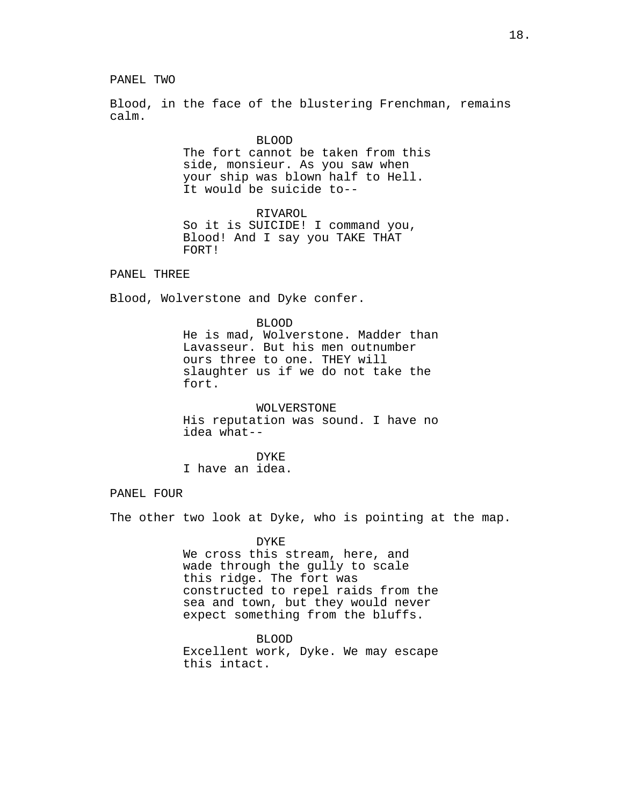PANEL TWO

Blood, in the face of the blustering Frenchman, remains calm.

> BLOOD The fort cannot be taken from this side, monsieur. As you saw when your ship was blown half to Hell. It would be suicide to--

RIVAROL So it is SUICIDE! I command you, Blood! And I say you TAKE THAT FORT!

PANEL THREE

Blood, Wolverstone and Dyke confer.

BLOOD He is mad, Wolverstone. Madder than Lavasseur. But his men outnumber ours three to one. THEY will slaughter us if we do not take the fort.

WOLVERSTONE His reputation was sound. I have no idea what--

DYKE I have an idea.

PANEL FOUR

The other two look at Dyke, who is pointing at the map.

DYKE We cross this stream, here, and wade through the gully to scale this ridge. The fort was constructed to repel raids from the sea and town, but they would never expect something from the bluffs.

BLOOD Excellent work, Dyke. We may escape this intact.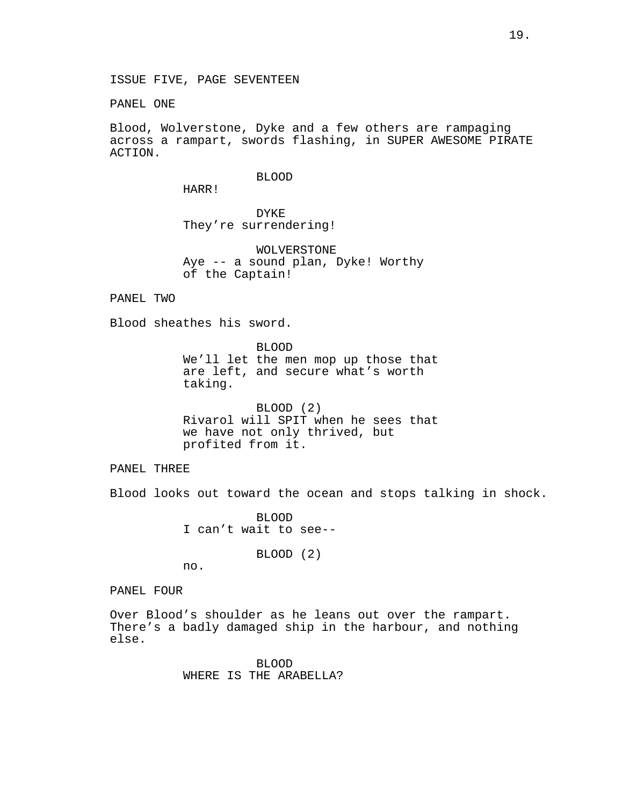ISSUE FIVE, PAGE SEVENTEEN

PANEL ONE

Blood, Wolverstone, Dyke and a few others are rampaging across a rampart, swords flashing, in SUPER AWESOME PIRATE ACTION.

#### BLOOD

HARR!

DYKE They're surrendering!

WOLVERSTONE Aye -- a sound plan, Dyke! Worthy of the Captain!

PANEL TWO

Blood sheathes his sword.

BLOOD We'll let the men mop up those that are left, and secure what's worth taking.

BLOOD (2) Rivarol will SPIT when he sees that we have not only thrived, but profited from it.

PANEL THREE

Blood looks out toward the ocean and stops talking in shock.

BLOOD I can't wait to see--

BLOOD (2)

no.

PANEL FOUR

Over Blood's shoulder as he leans out over the rampart. There's a badly damaged ship in the harbour, and nothing else.

> BLOOD WHERE IS THE ARABELLA?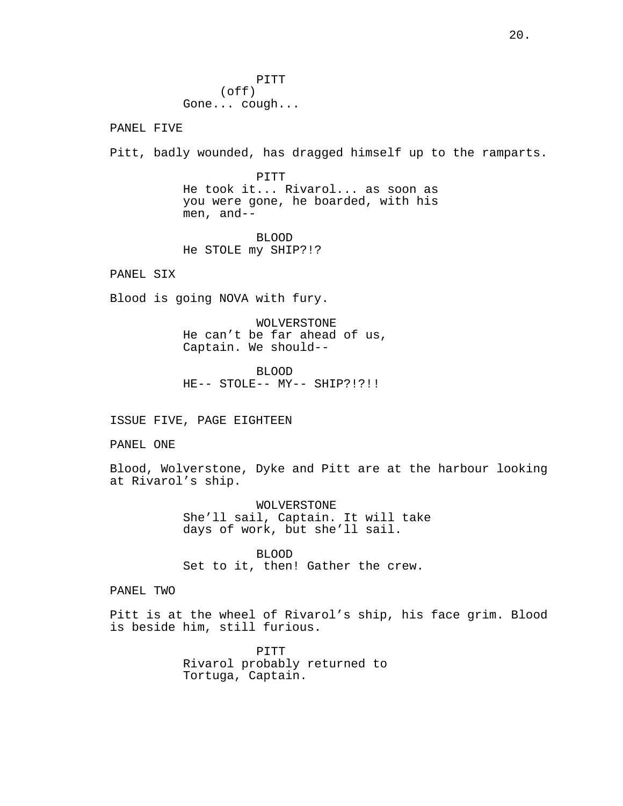PITT (off) Gone... cough...

PANEL FIVE

Pitt, badly wounded, has dragged himself up to the ramparts.

PITT He took it... Rivarol... as soon as you were gone, he boarded, with his men, and--

BLOOD He STOLE my SHIP?!?

PANEL SIX

Blood is going NOVA with fury.

WOLVERSTONE He can't be far ahead of us, Captain. We should--

BLOOD HE-- STOLE-- MY-- SHIP?!?!!

ISSUE FIVE, PAGE EIGHTEEN

PANEL ONE

Blood, Wolverstone, Dyke and Pitt are at the harbour looking at Rivarol's ship.

> WOLVERSTONE She'll sail, Captain. It will take days of work, but she'll sail.

BLOOD Set to it, then! Gather the crew.

PANEL TWO

Pitt is at the wheel of Rivarol's ship, his face grim. Blood is beside him, still furious.

> PITT Rivarol probably returned to Tortuga, Captain.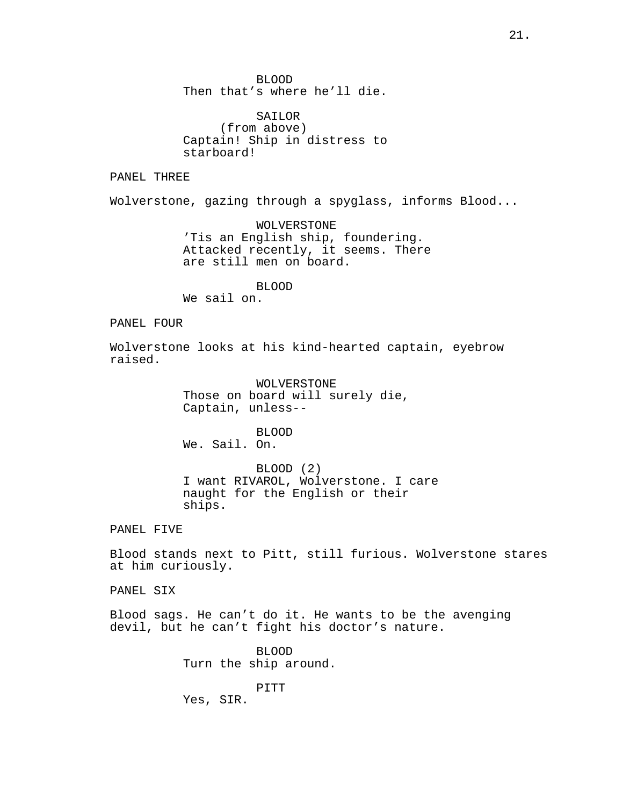BLOOD Then that's where he'll die.

SAILOR (from above) Captain! Ship in distress to starboard!

PANEL THREE

Wolverstone, gazing through a spyglass, informs Blood...

WOLVERSTONE 'Tis an English ship, foundering. Attacked recently, it seems. There are still men on board.

BLOOD

We sail on.

PANEL FOUR

Wolverstone looks at his kind-hearted captain, eyebrow raised.

> WOLVERSTONE Those on board will surely die, Captain, unless--

BLOOD We. Sail. On.

BLOOD (2) I want RIVAROL, Wolverstone. I care naught for the English or their ships.

PANEL FIVE

Blood stands next to Pitt, still furious. Wolverstone stares at him curiously.

PANEL SIX

Blood sags. He can't do it. He wants to be the avenging devil, but he can't fight his doctor's nature.

> BLOOD Turn the ship around.

PITT Yes, SIR.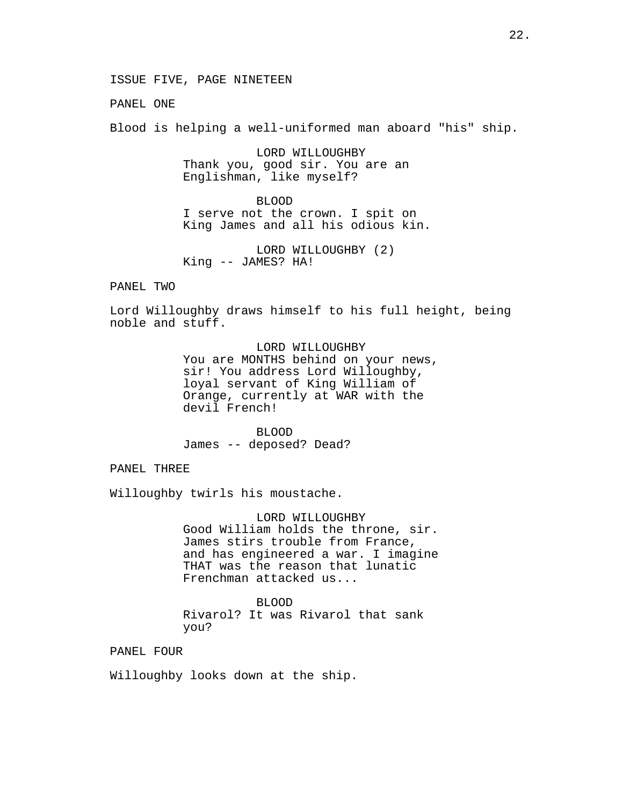ISSUE FIVE, PAGE NINETEEN

PANEL ONE

Blood is helping a well-uniformed man aboard "his" ship.

LORD WILLOUGHBY Thank you, good sir. You are an Englishman, like myself?

BLOOD I serve not the crown. I spit on King James and all his odious kin.

LORD WILLOUGHBY (2) King -- JAMES? HA!

PANEL TWO

Lord Willoughby draws himself to his full height, being noble and stuff.

> LORD WILLOUGHBY You are MONTHS behind on your news, sir! You address Lord Willoughby, loyal servant of King William of Orange, currently at WAR with the devil French!

BLOOD James -- deposed? Dead?

PANEL THREE

Willoughby twirls his moustache.

LORD WILLOUGHBY Good William holds the throne, sir. James stirs trouble from France, and has engineered a war. I imagine THAT was the reason that lunatic Frenchman attacked us...

BLOOD Rivarol? It was Rivarol that sank you?

PANEL FOUR

Willoughby looks down at the ship.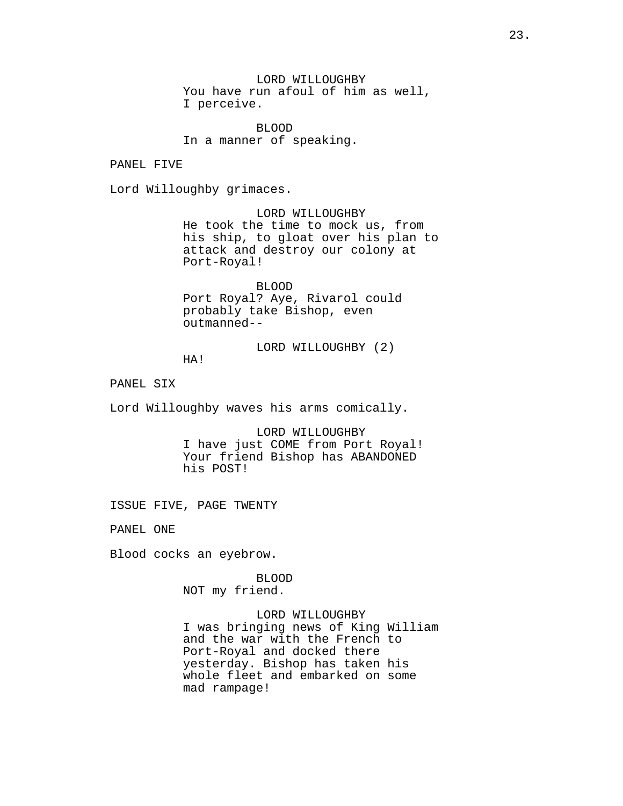LORD WILLOUGHBY You have run afoul of him as well, I perceive.

BLOOD In a manner of speaking.

PANEL FIVE

Lord Willoughby grimaces.

LORD WILLOUGHBY He took the time to mock us, from his ship, to gloat over his plan to attack and destroy our colony at Port-Royal!

BLOOD Port Royal? Aye, Rivarol could probably take Bishop, even outmanned--

LORD WILLOUGHBY (2) HA!

PANEL SIX

Lord Willoughby waves his arms comically.

LORD WILLOUGHBY I have just COME from Port Royal! Your friend Bishop has ABANDONED his POST!

ISSUE FIVE, PAGE TWENTY

PANEL ONE

Blood cocks an eyebrow.

BLOOD NOT my friend.

LORD WILLOUGHBY I was bringing news of King William and the war with the French to Port-Royal and docked there yesterday. Bishop has taken his whole fleet and embarked on some mad rampage!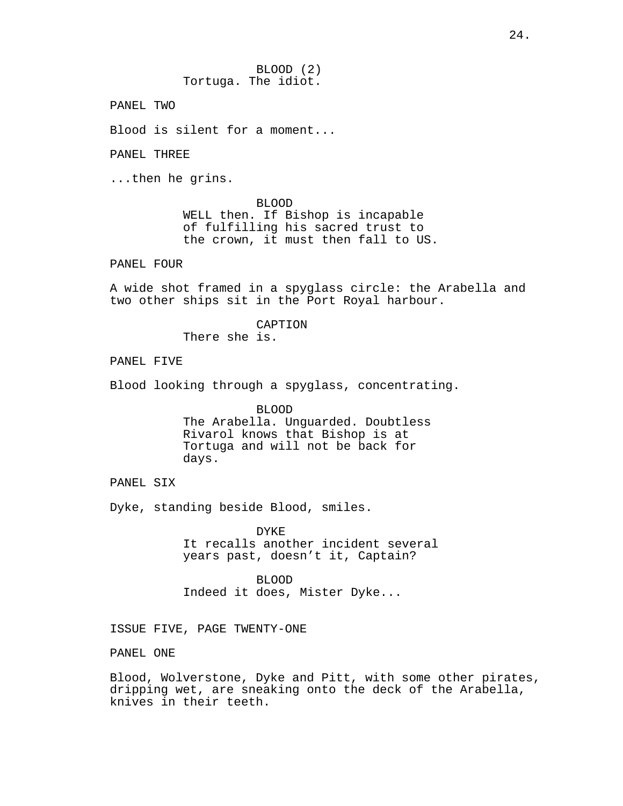BLOOD (2) Tortuga. The idiot.

PANEL TWO

Blood is silent for a moment...

PANEL THREE

...then he grins.

BLOOD WELL then. If Bishop is incapable of fulfilling his sacred trust to the crown, it must then fall to US.

PANEL FOUR

A wide shot framed in a spyglass circle: the Arabella and two other ships sit in the Port Royal harbour.

CAPTION

There she is.

PANEL FIVE

Blood looking through a spyglass, concentrating.

BLOOD The Arabella. Unguarded. Doubtless Rivarol knows that Bishop is at Tortuga and will not be back for days.

PANEL SIX

Dyke, standing beside Blood, smiles.

DYKE It recalls another incident several years past, doesn't it, Captain?

BLOOD Indeed it does, Mister Dyke...

ISSUE FIVE, PAGE TWENTY-ONE

PANEL ONE

Blood, Wolverstone, Dyke and Pitt, with some other pirates, dripping wet, are sneaking onto the deck of the Arabella, knives in their teeth.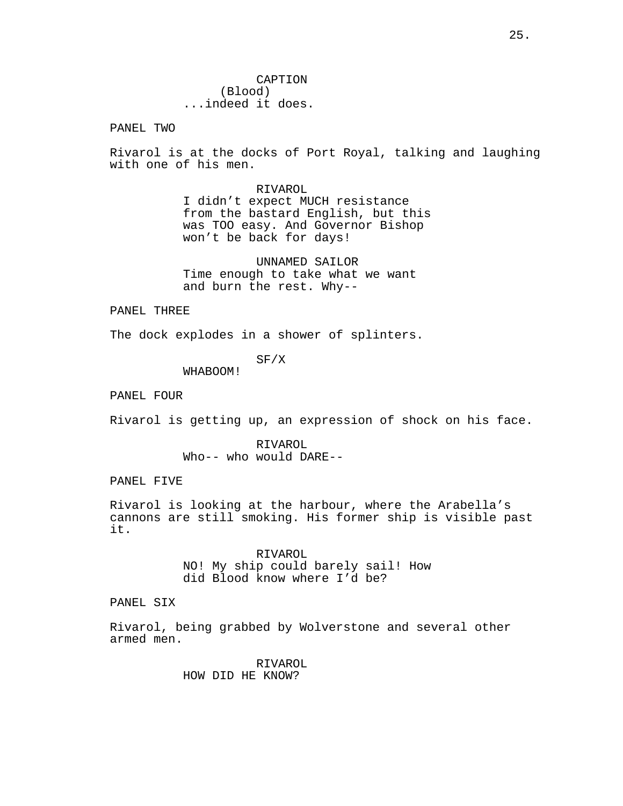PANEL TWO

Rivarol is at the docks of Port Royal, talking and laughing with one of his men.

> RIVAROL I didn't expect MUCH resistance from the bastard English, but this was TOO easy. And Governor Bishop won't be back for days!

UNNAMED SAILOR Time enough to take what we want and burn the rest. Why--

PANEL THREE

The dock explodes in a shower of splinters.

SF/X

WHABOOM!

PANEL FOUR

Rivarol is getting up, an expression of shock on his face.

RIVAROL Who-- who would DARE--

PANEL FIVE

Rivarol is looking at the harbour, where the Arabella's cannons are still smoking. His former ship is visible past it.

> RIVAROL NO! My ship could barely sail! How did Blood know where I'd be?

PANEL SIX

Rivarol, being grabbed by Wolverstone and several other armed men.

> RIVAROL HOW DID HE KNOW?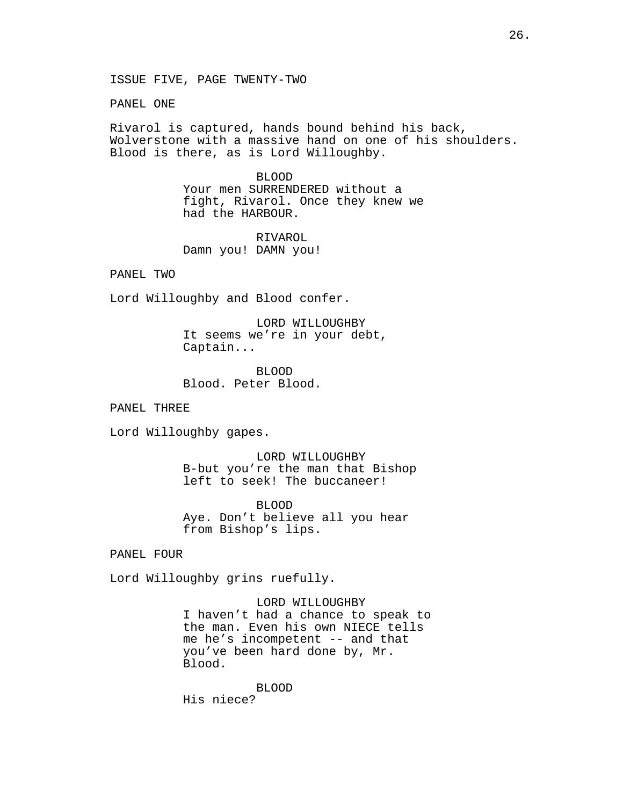ISSUE FIVE, PAGE TWENTY-TWO

PANEL ONE

Rivarol is captured, hands bound behind his back, Wolverstone with a massive hand on one of his shoulders. Blood is there, as is Lord Willoughby.

> BLOOD Your men SURRENDERED without a fight, Rivarol. Once they knew we had the HARBOUR.

RIVAROL Damn you! DAMN you!

PANEL TWO

Lord Willoughby and Blood confer.

LORD WILLOUGHBY It seems we're in your debt, Captain...

BLOOD Blood. Peter Blood.

PANEL THREE

Lord Willoughby gapes.

LORD WILLOUGHBY B-but you're the man that Bishop left to seek! The buccaneer!

BLOOD Aye. Don't believe all you hear from Bishop's lips.

PANEL FOUR

Lord Willoughby grins ruefully.

LORD WILLOUGHBY I haven't had a chance to speak to the man. Even his own NIECE tells me he's incompetent -- and that you've been hard done by, Mr. Blood.

BLOOD His niece?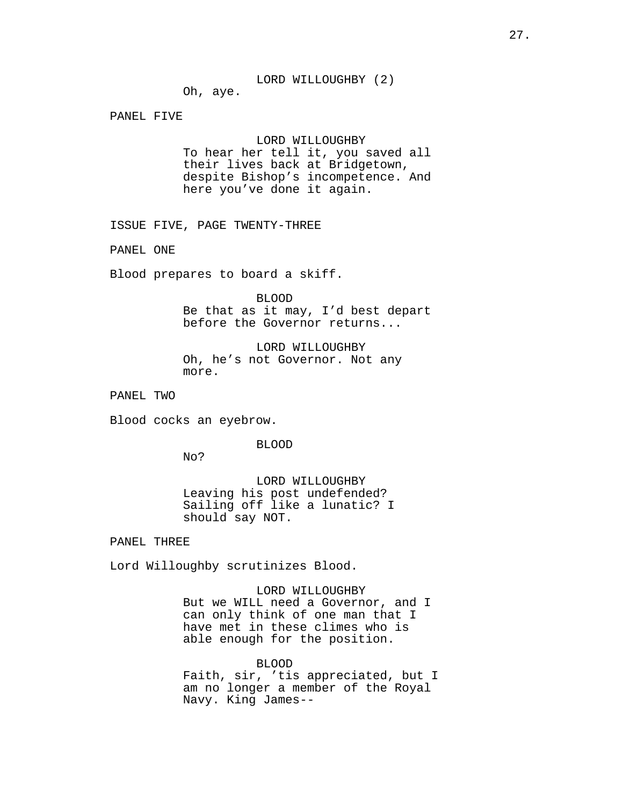#### LORD WILLOUGHBY (2)

Oh, aye.

PANEL FIVE

# LORD WILLOUGHBY

To hear her tell it, you saved all their lives back at Bridgetown, despite Bishop's incompetence. And here you've done it again.

ISSUE FIVE, PAGE TWENTY-THREE

PANEL ONE

Blood prepares to board a skiff.

BLOOD

Be that as it may, I'd best depart before the Governor returns...

LORD WILLOUGHBY Oh, he's not Governor. Not any more.

PANEL TWO

Blood cocks an eyebrow.

BLOOD

No?

LORD WILLOUGHBY Leaving his post undefended? Sailing off like a lunatic? I should say NOT.

PANEL THREE

Lord Willoughby scrutinizes Blood.

LORD WILLOUGHBY But we WILL need a Governor, and I can only think of one man that I have met in these climes who is able enough for the position.

BLOOD Faith, sir, 'tis appreciated, but I am no longer a member of the Royal Navy. King James--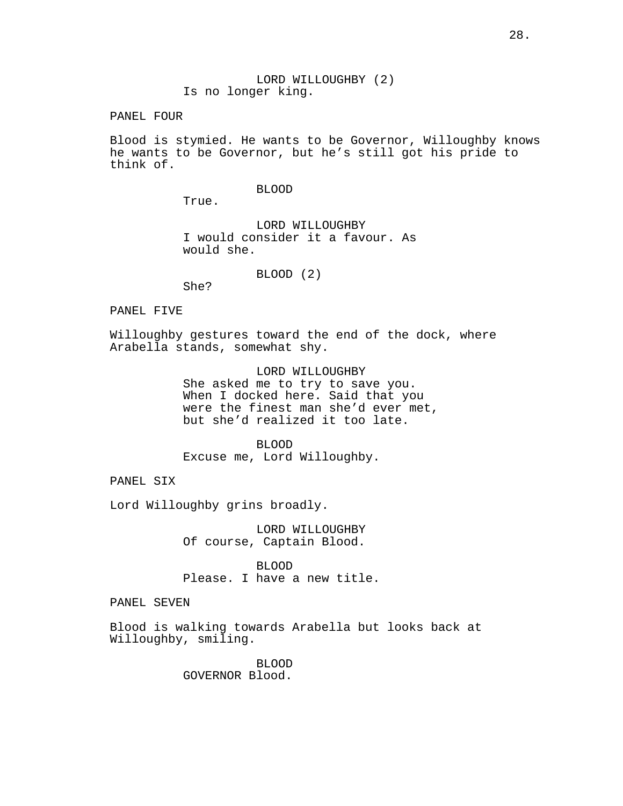LORD WILLOUGHBY (2) Is no longer king.

PANEL FOUR

Blood is stymied. He wants to be Governor, Willoughby knows he wants to be Governor, but he's still got his pride to think of.

# BLOOD

True.

LORD WILLOUGHBY I would consider it a favour. As would she.

BLOOD (2)

She?

# PANEL FIVE

Willoughby gestures toward the end of the dock, where Arabella stands, somewhat shy.

> LORD WILLOUGHBY She asked me to try to save you. When I docked here. Said that you were the finest man she'd ever met, but she'd realized it too late.

BLOOD Excuse me, Lord Willoughby.

PANEL SIX

Lord Willoughby grins broadly.

LORD WILLOUGHBY Of course, Captain Blood.

BLOOD Please. I have a new title.

PANEL SEVEN

Blood is walking towards Arabella but looks back at Willoughby, smiling.

> BLOOD GOVERNOR Blood.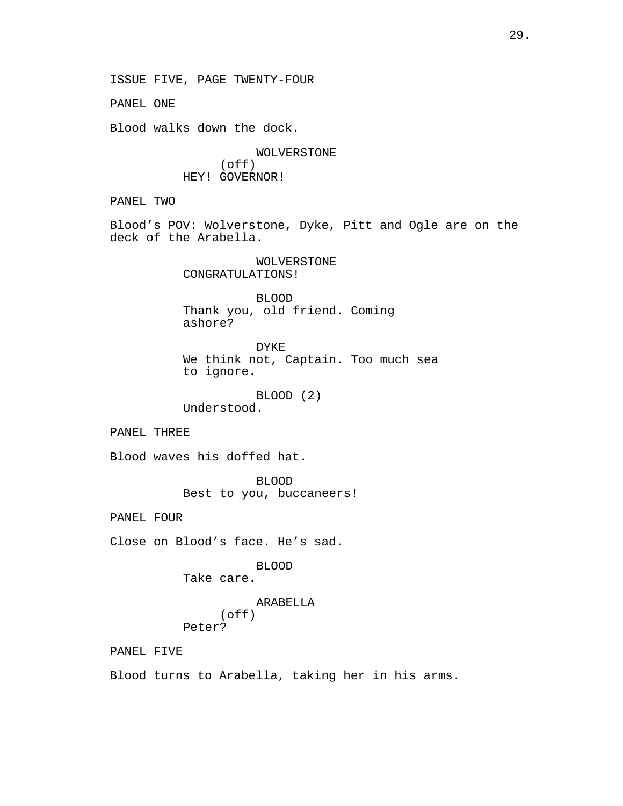ISSUE FIVE, PAGE TWENTY-FOUR PANEL ONE Blood walks down the dock. WOLVERSTONE (off) HEY! GOVERNOR! PANEL TWO Blood's POV: Wolverstone, Dyke, Pitt and Ogle are on the deck of the Arabella. WOLVERSTONE CONGRATULATIONS! BLOOD Thank you, old friend. Coming ashore? DYKE We think not, Captain. Too much sea to ignore. BLOOD (2) Understood. PANEL THREE Blood waves his doffed hat. BLOOD Best to you, buccaneers! PANEL FOUR Close on Blood's face. He's sad. BLOOD Take care. ARABELLA (off) Peter? PANEL FIVE Blood turns to Arabella, taking her in his arms.